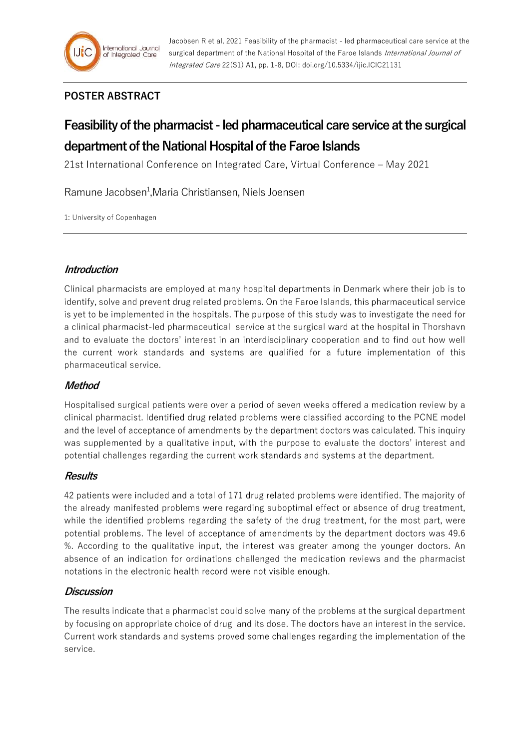# **POSTER ABSTRACT**

# **Feasibility of the pharmacist - led pharmaceutical care service at the surgical department of the National Hospital of the Faroe Islands**

21st International Conference on Integrated Care, Virtual Conference – May 2021

Ramune Jacobsen<sup>1</sup>, Maria Christiansen, Niels Joensen

1: University of Copenhagen

# **Introduction**

Clinical pharmacists are employed at many hospital departments in Denmark where their job is to identify, solve and prevent drug related problems. On the Faroe Islands, this pharmaceutical service is yet to be implemented in the hospitals. The purpose of this study was to investigate the need for a clinical pharmacist-led pharmaceutical service at the surgical ward at the hospital in Thorshavn and to evaluate the doctors' interest in an interdisciplinary cooperation and to find out how well the current work standards and systems are qualified for a future implementation of this pharmaceutical service.

# **Method**

Hospitalised surgical patients were over a period of seven weeks offered a medication review by a clinical pharmacist. Identified drug related problems were classified according to the PCNE model and the level of acceptance of amendments by the department doctors was calculated. This inquiry was supplemented by a qualitative input, with the purpose to evaluate the doctors' interest and potential challenges regarding the current work standards and systems at the department.

# **Results**

42 patients were included and a total of 171 drug related problems were identified. The majority of the already manifested problems were regarding suboptimal effect or absence of drug treatment, while the identified problems regarding the safety of the drug treatment, for the most part, were potential problems. The level of acceptance of amendments by the department doctors was 49.6 %. According to the qualitative input, the interest was greater among the younger doctors. An absence of an indication for ordinations challenged the medication reviews and the pharmacist notations in the electronic health record were not visible enough.

# **Discussion**

The results indicate that a pharmacist could solve many of the problems at the surgical department by focusing on appropriate choice of drug and its dose. The doctors have an interest in the service. Current work standards and systems proved some challenges regarding the implementation of the service.